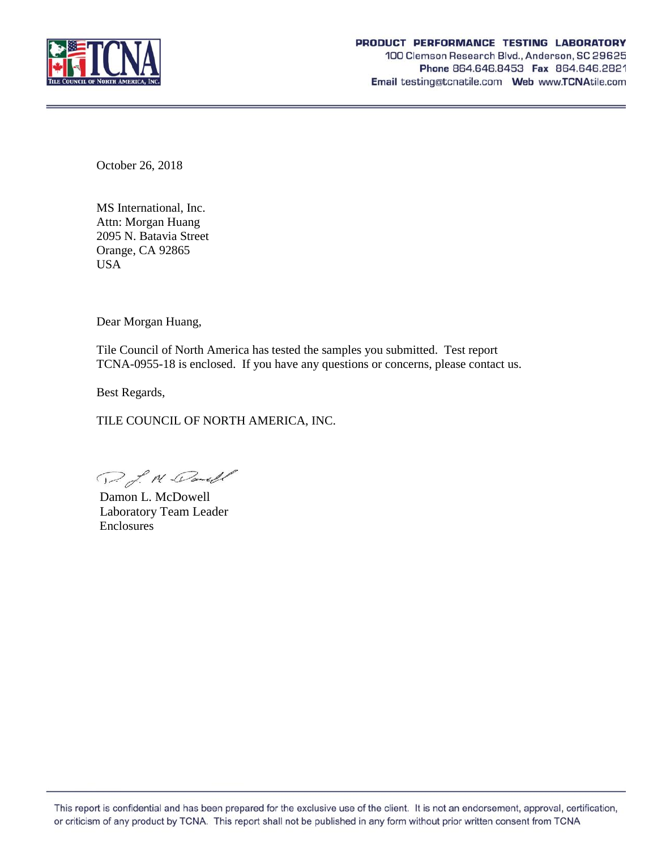

October 26, 2018

MS International, Inc. Attn: Morgan Huang 2095 N. Batavia Street Orange, CA 92865 USA

Dear Morgan Huang,

Tile Council of North America has tested the samples you submitted. Test report TCNA-0955-18 is enclosed. If you have any questions or concerns, please contact us.

Best Regards,

TILE COUNCIL OF NORTH AMERICA, INC.

D. J. M. Dandl

Damon L. McDowell Laboratory Team Leader Enclosures

This report is confidential and has been prepared for the exclusive use of the client. It is not an endorsement, approval, certification, or criticism of any product by TCNA. This report shall not be published in any form without prior written consent from TCNA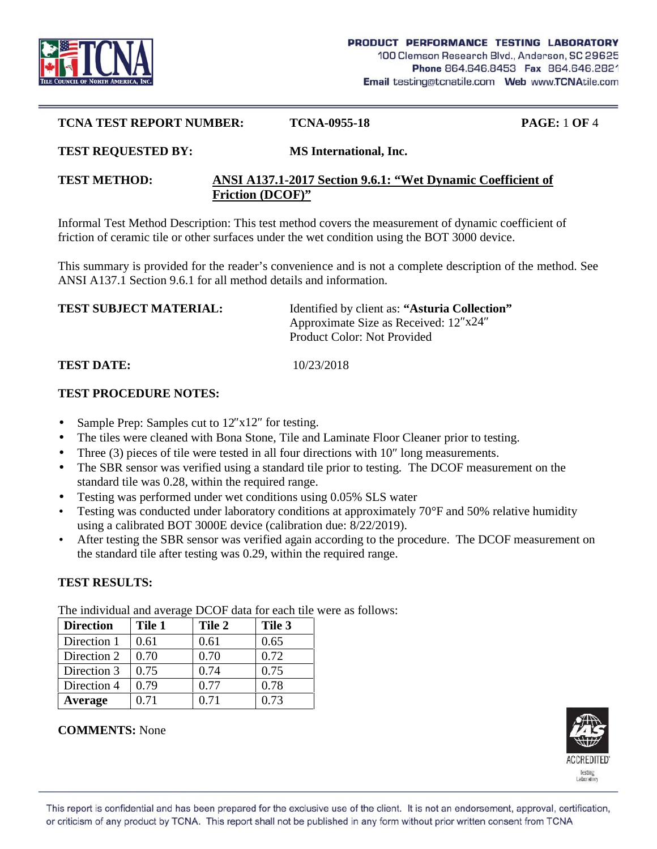

#### **TCNA TEST REPORT NUMBER: TCNA-0955-18 PAGE:** 1 **OF** 4

#### **TEST REQUESTED BY: MS International, Inc.**

### **TEST METHOD: ANSI A137.1-2017 Section 9.6.1: "Wet Dynamic Coefficient of Friction (DCOF)"**

Informal Test Method Description: This test method covers the measurement of dynamic coefficient of friction of ceramic tile or other surfaces under the wet condition using the BOT 3000 device.

This summary is provided for the reader's convenience and is not a complete description of the method. See ANSI A137.1 Section 9.6.1 for all method details and information.

| Identified by client as: "Asturia Collection" |
|-----------------------------------------------|
| Approximate Size as Received: 12 x24          |
| Product Color: Not Provided                   |
|                                               |

### **TEST DATE:** 10/23/2018

### **TEST PROCEDURE NOTES:**

- Sample Prep: Samples cut to 12 x12 for testing.
- The tiles were cleaned with Bona Stone, Tile and Laminate Floor Cleaner prior to testing.
- Three (3) pieces of tile were tested in all four directions with 10 long measurements.
- The SBR sensor was verified using a standard tile prior to testing. The DCOF measurement on the standard tile was 0.28, within the required range.
- Testing was performed under wet conditions using 0.05% SLS water
- Testing was conducted under laboratory conditions at approximately 70°F and 50% relative humidity using a calibrated BOT 3000E device (calibration due: 8/22/2019).
- After testing the SBR sensor was verified again according to the procedure. The DCOF measurement on the standard tile after testing was 0.29, within the required range.

# **TEST RESULTS:**

| <b>Direction</b> | Tile 1 | Tile 2 | Tile 3 |
|------------------|--------|--------|--------|
| Direction 1      | 0.61   | 0.61   | 0.65   |
| Direction 2      | 0.70   | 0.70   | 0.72   |
| Direction 3      | 0.75   | 0.74   | 0.75   |
| Direction 4      | 0.79   | 0.77   | 0.78   |
| <b>Average</b>   | O 71   | 0.71   | 0.73   |

The individual and average DCOF data for each tile were as follows:

# **COMMENTS:** None

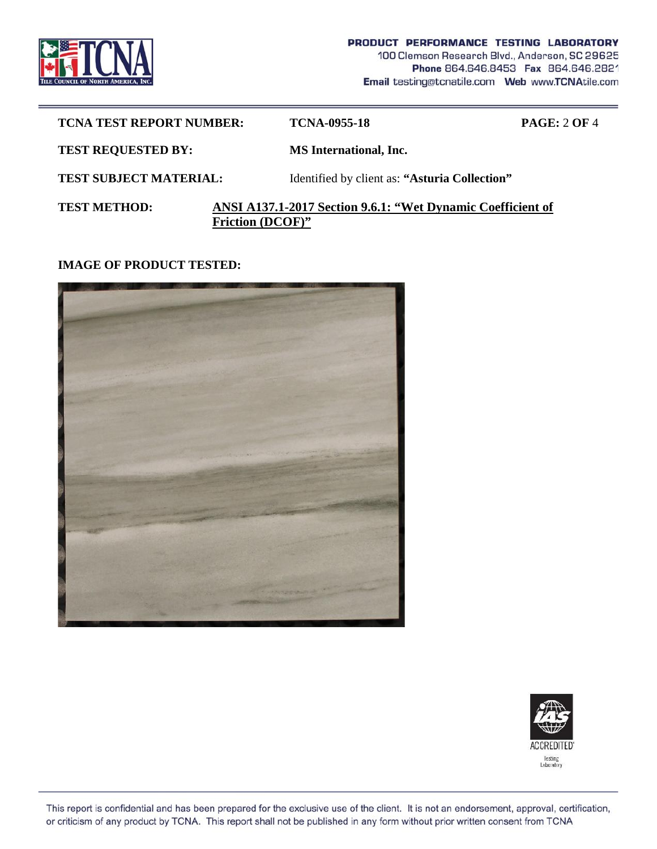

| <b>TCNA TEST REPORT NUMBER:</b> |                         | TCNA-0955-18                                                | <b>PAGE: 2 OF 4</b> |
|---------------------------------|-------------------------|-------------------------------------------------------------|---------------------|
| <b>TEST REQUESTED BY:</b>       |                         | <b>MS</b> International, Inc.                               |                     |
| <b>TEST SUBJECT MATERIAL:</b>   |                         | Identified by client as: "Asturia Collection"               |                     |
| <b>TEST METHOD:</b>             | <b>Friction (DCOF)"</b> | ANSI A137.1-2017 Section 9.6.1: "Wet Dynamic Coefficient of |                     |

**IMAGE OF PRODUCT TESTED:**





This report is confidential and has been prepared for the exclusive use of the client. It is not an endorsement, approval, certification, or criticism of any product by TCNA. This report shall not be published in any form without prior written consent from TCNA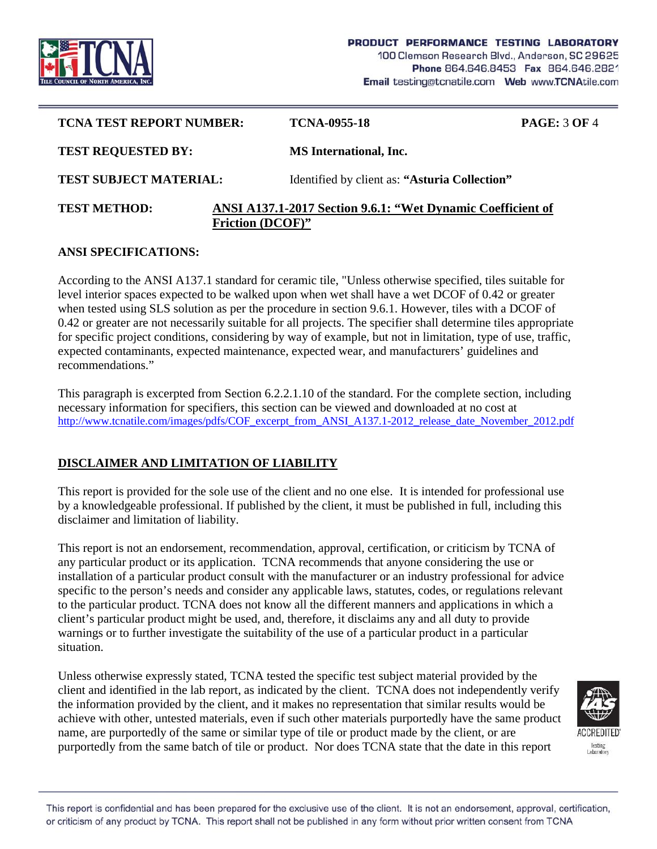

| <b>TCNA TEST REPORT NUMBER:</b>                                                                               |  | TCNA-0955-18                                  | <b>PAGE: 3 OF 4</b> |  |  |
|---------------------------------------------------------------------------------------------------------------|--|-----------------------------------------------|---------------------|--|--|
| <b>TEST REQUESTED BY:</b>                                                                                     |  | <b>MS</b> International, Inc.                 |                     |  |  |
| <b>TEST SUBJECT MATERIAL:</b>                                                                                 |  | Identified by client as: "Asturia Collection" |                     |  |  |
| ANSI A137.1-2017 Section 9.6.1: "Wet Dynamic Coefficient of<br><b>TEST METHOD:</b><br><b>Friction (DCOF)"</b> |  |                                               |                     |  |  |

### **ANSI SPECIFICATIONS:**

According to the ANSI A137.1 standard for ceramic tile, "Unless otherwise specified, tiles suitable for level interior spaces expected to be walked upon when wet shall have a wet DCOF of 0.42 or greater when tested using SLS solution as per the procedure in section 9.6.1. However, tiles with a DCOF of 0.42 or greater are not necessarily suitable for all projects. The specifier shall determine tiles appropriate for specific project conditions, considering by way of example, but not in limitation, type of use, traffic, expected contaminants, expected maintenance, expected wear, and manufacturers' guidelines and recommendations."

This paragraph is excerpted from Section 6.2.2.1.10 of the standard. For the complete section, including necessary information for specifiers, this section can be viewed and downloaded at no cost at http://www.tcnatile.com/images/pdfs/COF\_excerpt\_from\_ANSI\_A137.1-2012\_release\_date\_November\_2012.pdf

# **DISCLAIMER AND LIMITATION OF LIABILITY**

This report is provided for the sole use of the client and no one else. It is intended for professional use by a knowledgeable professional. If published by the client, it must be published in full, including this disclaimer and limitation of liability.

This report is not an endorsement, recommendation, approval, certification, or criticism by TCNA of any particular product or its application. TCNA recommends that anyone considering the use or installation of a particular product consult with the manufacturer or an industry professional for advice specific to the person's needs and consider any applicable laws, statutes, codes, or regulations relevant to the particular product. TCNA does not know all the different manners and applications in which a client's particular product might be used, and, therefore, it disclaims any and all duty to provide warnings or to further investigate the suitability of the use of a particular product in a particular situation.

Unless otherwise expressly stated, TCNA tested the specific test subject material provided by the client and identified in the lab report, as indicated by the client. TCNA does not independently verify the information provided by the client, and it makes no representation that similar results would be achieve with other, untested materials, even if such other materials purportedly have the same product name, are purportedly of the same or similar type of tile or product made by the client, or are purportedly from the same batch of tile or product. Nor does TCNA state that the date in this report



This report is confidential and has been prepared for the exclusive use of the client. It is not an endorsement, approval, certification, or criticism of any product by TCNA. This report shall not be published in any form without prior written consent from TCNA